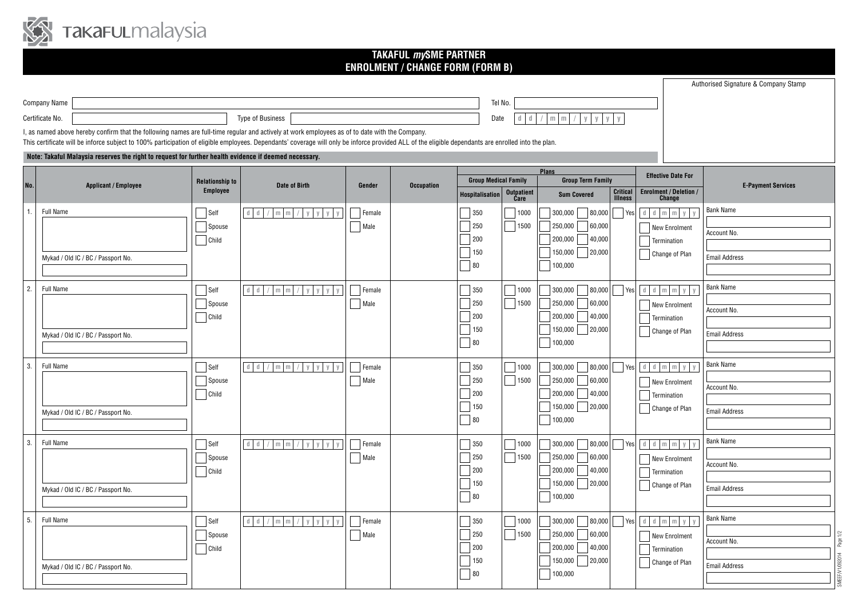

## **TAKAFUL** *my***SME PARTNER ENROLMENT / CHANGE FORM (FORM B)**

|                                                                                                                                                |                                                                                                                                                                                                     |                        |                                                                      |                |                   |                             |                           |                                        |                                 |                                          | Authorised Signature & Company Stamp |  |
|------------------------------------------------------------------------------------------------------------------------------------------------|-----------------------------------------------------------------------------------------------------------------------------------------------------------------------------------------------------|------------------------|----------------------------------------------------------------------|----------------|-------------------|-----------------------------|---------------------------|----------------------------------------|---------------------------------|------------------------------------------|--------------------------------------|--|
|                                                                                                                                                | <b>Company Name</b>                                                                                                                                                                                 |                        |                                                                      |                |                   | Tel No.                     |                           |                                        |                                 |                                          |                                      |  |
|                                                                                                                                                | Certificate No.                                                                                                                                                                                     |                        | <b>Type of Business</b>                                              |                |                   | Date                        |                           | $/$ m m $/$ y y y y                    |                                 |                                          |                                      |  |
| I, as named above hereby confirm that the following names are full-time regular and actively at work employees as of to date with the Company. |                                                                                                                                                                                                     |                        |                                                                      |                |                   |                             |                           |                                        |                                 |                                          |                                      |  |
|                                                                                                                                                | This certificate will be inforce subject to 100% participation of eligible employees. Dependants' coverage will only be inforce provided ALL of the eligible dependants are enrolled into the plan. |                        |                                                                      |                |                   |                             |                           |                                        |                                 |                                          |                                      |  |
| Note: Takaful Malaysia reserves the right to request for further health evidence if deemed necessary.                                          |                                                                                                                                                                                                     |                        |                                                                      |                |                   |                             |                           |                                        |                                 |                                          |                                      |  |
|                                                                                                                                                |                                                                                                                                                                                                     | <b>Relationship to</b> |                                                                      |                |                   | <b>Group Medical Family</b> |                           | <b>Plans</b>                           | <b>Group Term Family</b>        |                                          |                                      |  |
| No.                                                                                                                                            | <b>Applicant / Employee</b>                                                                                                                                                                         | <b>Employee</b>        | Date of Birth                                                        | Gender         | <b>Occupation</b> | <b>Hospitalisation</b>      | <b>Outpatient</b><br>Care | <b>Sum Covered</b>                     | <b>Critical</b><br>Illness      | <b>Enrolment / Deletion /<br/>Change</b> | <b>E-Payment Services</b>            |  |
| 1                                                                                                                                              | <b>Full Name</b>                                                                                                                                                                                    | $\Box$ Self            | $d$ $d$<br>$m \mid m \mid /$<br>y y y y                              | $\vert$ Female |                   | 350                         | 1000                      | $\frac{1}{80,000}$<br>300,000          | $\Box$ Yes                      | $d$ $d$ $m$ $m$ $y$ $y$                  | <b>Bank Name</b>                     |  |
|                                                                                                                                                |                                                                                                                                                                                                     | Spouse                 |                                                                      | $\Box$ Male    |                   | 250                         | $\Box$ 1500               | 250,000<br>60,000                      |                                 | <b>New Enrolment</b>                     |                                      |  |
|                                                                                                                                                |                                                                                                                                                                                                     | $\Box$ Child           |                                                                      |                |                   | 200                         |                           | $200,000$ 40,000                       |                                 | Termination                              | Account No.                          |  |
|                                                                                                                                                | Mykad / Old IC / BC / Passport No.                                                                                                                                                                  |                        |                                                                      |                |                   | 150                         |                           | 150,000 20,000                         |                                 | Change of Plan                           | <b>Email Address</b>                 |  |
|                                                                                                                                                |                                                                                                                                                                                                     |                        |                                                                      |                |                   | 80                          |                           | 100,000                                |                                 |                                          |                                      |  |
| $\overline{2}$                                                                                                                                 | <b>Full Name</b>                                                                                                                                                                                    | Self                   | $d$ $d$ / $m$ $m$ /<br>y y y y                                       | Female         |                   | 350                         | 1000                      | 300,000<br> 80,000                     | $\mathbb{R}$<br>Yes             | $d$ $d$ $m$ $m$ $y$ $y$                  | <b>Bank Name</b>                     |  |
|                                                                                                                                                |                                                                                                                                                                                                     | Spouse                 |                                                                      | Male           |                   | 250                         | $\sqrt{ }$ 1500           | 250,000<br>60,000                      |                                 | New Enrolment                            |                                      |  |
|                                                                                                                                                |                                                                                                                                                                                                     | $\Box$ Child           |                                                                      |                |                   | 200                         |                           | 200,000<br>40,000                      |                                 | Termination                              | Account No.                          |  |
|                                                                                                                                                |                                                                                                                                                                                                     |                        |                                                                      |                |                   | 150                         |                           | 150,000<br>20,000                      |                                 | Change of Plan                           | <b>Email Address</b>                 |  |
|                                                                                                                                                | Mykad / Old IC / BC / Passport No.                                                                                                                                                                  |                        |                                                                      |                |                   | 80                          |                           | 100,000                                |                                 |                                          |                                      |  |
|                                                                                                                                                |                                                                                                                                                                                                     |                        |                                                                      |                |                   |                             |                           |                                        |                                 |                                          | <b>Bank Name</b>                     |  |
| 3                                                                                                                                              | <b>Full Name</b>                                                                                                                                                                                    | Self                   | $d$ d / m m / y y y y                                                | Female         |                   | 350                         | 71000                     | 300,000<br>80,000                      | $\Box$ Yes                      | $d$ $d$ $m$ $m$ $y$ $y$                  |                                      |  |
|                                                                                                                                                |                                                                                                                                                                                                     | Spouse<br>$\Box$ Child |                                                                      | $\Box$ Male    |                   | 250<br>200                  | 71500                     | 250,000<br>60,000<br>200,000<br>40,000 |                                 | New Enrolment                            | Account No.                          |  |
|                                                                                                                                                |                                                                                                                                                                                                     |                        |                                                                      |                |                   | 150                         |                           | 150,000<br>20,000                      |                                 | Termination<br>Change of Plan            |                                      |  |
|                                                                                                                                                | Mykad / Old IC / BC / Passport No.                                                                                                                                                                  |                        |                                                                      |                |                   | 80                          |                           | 100,000                                |                                 |                                          | <b>Email Address</b>                 |  |
|                                                                                                                                                |                                                                                                                                                                                                     |                        |                                                                      |                |                   |                             |                           |                                        |                                 |                                          |                                      |  |
| 3                                                                                                                                              | <b>Full Name</b>                                                                                                                                                                                    | $\Box$ Self            | $\mathbb{d}=\mathbb{d}$<br>$/m$ m $/$<br>$V$ $V$                     | Female         |                   | 350                         | $\sqrt{1000}$             | 300,000                                | $\vert$ 80,000 $\vert$ Yes      | $d$ $d$ $m$ $m$ $y$                      | <b>Bank Name</b>                     |  |
|                                                                                                                                                |                                                                                                                                                                                                     | Spouse                 |                                                                      | Male           |                   | 250                         | $\Box$ 1500               | 250,000<br>60,000                      |                                 | <b>New Enrolment</b>                     | Account No.                          |  |
|                                                                                                                                                |                                                                                                                                                                                                     | $\Box$ Child           |                                                                      |                |                   | 200<br>150                  |                           | $200,000$ 40,000<br>150,000 20,000     |                                 | $\Box$ Termination                       |                                      |  |
|                                                                                                                                                | Mykad / Old IC / BC / Passport No.                                                                                                                                                                  |                        |                                                                      |                |                   | $ 80\rangle$                |                           | 100,000                                |                                 | Change of Plan                           | <b>Email Address</b>                 |  |
|                                                                                                                                                |                                                                                                                                                                                                     |                        |                                                                      |                |                   |                             |                           |                                        |                                 |                                          |                                      |  |
| 5                                                                                                                                              | <b>Full Name</b>                                                                                                                                                                                    | $\Box$ Self            | $d d \mid d \mid / \mid m \mid m \mid / \mid y \mid y \mid y \mid y$ | Female         |                   | 350                         | 1000                      | 300,000<br> 80,000                     | $\overline{\phantom{a}}$<br>Yes | $d$ $d$ $m$ $m$ $y$ $y$                  | <b>Bank Name</b>                     |  |
|                                                                                                                                                |                                                                                                                                                                                                     | Spouse                 |                                                                      | Male           |                   | 250                         | $\Box$ 1500               | 250,000<br>60,000                      |                                 | New Enrolment                            | Account No.                          |  |
|                                                                                                                                                |                                                                                                                                                                                                     | $\Box$ Child           |                                                                      |                |                   | 200                         |                           | 200,000<br>40,000                      |                                 | Termination                              |                                      |  |
|                                                                                                                                                | Mykad / Old IC / BC / Passport No.                                                                                                                                                                  |                        |                                                                      |                |                   | 150                         |                           | 150,000<br> 20,000                     |                                 | Change of Plan                           | <b>Email Address</b>                 |  |
|                                                                                                                                                |                                                                                                                                                                                                     |                        |                                                                      |                |                   | 80                          |                           | 100,000                                |                                 |                                          |                                      |  |